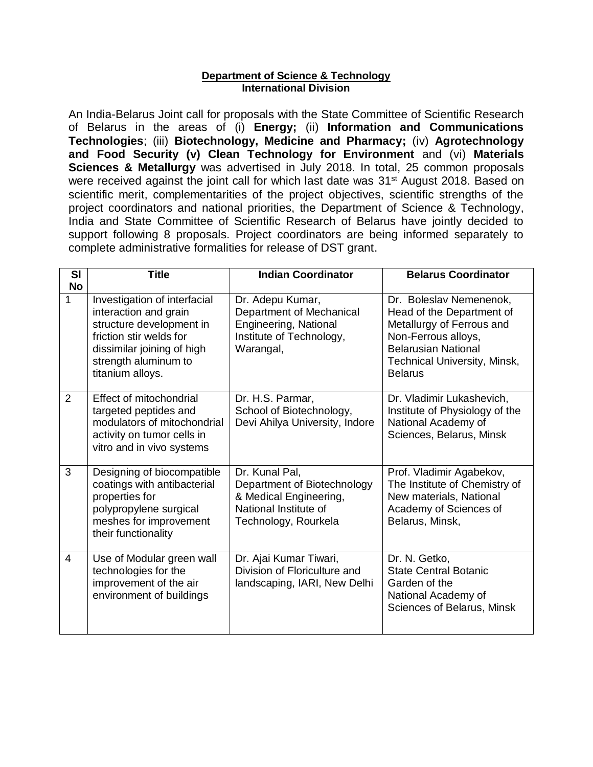## **Department of Science & Technology International Division**

An India-Belarus Joint call for proposals with the State Committee of Scientific Research of Belarus in the areas of (i) **Energy;** (ii) **Information and Communications Technologies**; (iii) **Biotechnology, Medicine and Pharmacy;** (iv) **Agrotechnology and Food Security (v) Clean Technology for Environment** and (vi) **Materials Sciences & Metallurgy** was advertised in July 2018. In total, 25 common proposals were received against the joint call for which last date was 31<sup>st</sup> August 2018. Based on scientific merit, complementarities of the project objectives, scientific strengths of the project coordinators and national priorities, the Department of Science & Technology, India and State Committee of Scientific Research of Belarus have jointly decided to support following 8 proposals. Project coordinators are being informed separately to complete administrative formalities for release of DST grant.

| <b>SI</b>      | <b>Title</b>                                                                                                                                                                           | <b>Indian Coordinator</b>                                                                                                | <b>Belarus Coordinator</b>                                                                                                                                                               |
|----------------|----------------------------------------------------------------------------------------------------------------------------------------------------------------------------------------|--------------------------------------------------------------------------------------------------------------------------|------------------------------------------------------------------------------------------------------------------------------------------------------------------------------------------|
| <b>No</b><br>1 | Investigation of interfacial<br>interaction and grain<br>structure development in<br>friction stir welds for<br>dissimilar joining of high<br>strength aluminum to<br>titanium alloys. | Dr. Adepu Kumar,<br>Department of Mechanical<br>Engineering, National<br>Institute of Technology,<br>Warangal,           | Dr. Boleslav Nemenenok,<br>Head of the Department of<br>Metallurgy of Ferrous and<br>Non-Ferrous alloys,<br><b>Belarusian National</b><br>Technical University, Minsk,<br><b>Belarus</b> |
| 2              | <b>Effect of mitochondrial</b><br>targeted peptides and<br>modulators of mitochondrial<br>activity on tumor cells in<br>vitro and in vivo systems                                      | Dr. H.S. Parmar,<br>School of Biotechnology,<br>Devi Ahilya University, Indore                                           | Dr. Vladimir Lukashevich,<br>Institute of Physiology of the<br>National Academy of<br>Sciences, Belarus, Minsk                                                                           |
| 3              | Designing of biocompatible<br>coatings with antibacterial<br>properties for<br>polypropylene surgical<br>meshes for improvement<br>their functionality                                 | Dr. Kunal Pal,<br>Department of Biotechnology<br>& Medical Engineering,<br>National Institute of<br>Technology, Rourkela | Prof. Vladimir Agabekov,<br>The Institute of Chemistry of<br>New materials, National<br>Academy of Sciences of<br>Belarus, Minsk,                                                        |
| 4              | Use of Modular green wall<br>technologies for the<br>improvement of the air<br>environment of buildings                                                                                | Dr. Ajai Kumar Tiwari,<br>Division of Floriculture and<br>landscaping, IARI, New Delhi                                   | Dr. N. Getko,<br><b>State Central Botanic</b><br>Garden of the<br>National Academy of<br>Sciences of Belarus, Minsk                                                                      |